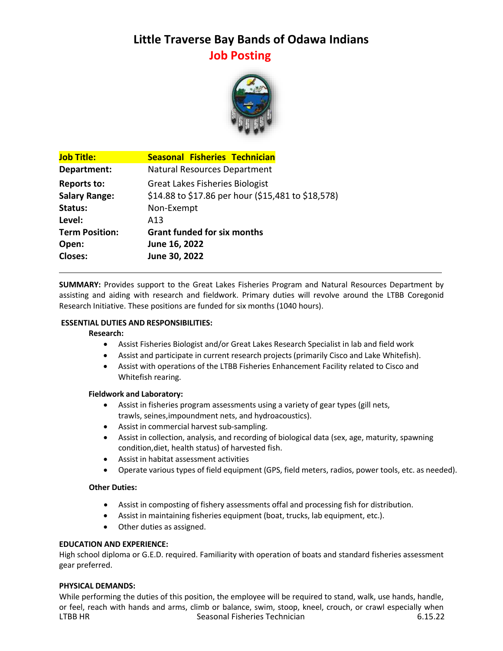# **Little Traverse Bay Bands of Odawa Indians Job Posting**



| <b>Job Title:</b>     | <b>Seasonal Fisheries Technician</b>               |
|-----------------------|----------------------------------------------------|
| Department:           | Natural Resources Department                       |
| Reports to:           | <b>Great Lakes Fisheries Biologist</b>             |
| <b>Salary Range:</b>  | \$14.88 to \$17.86 per hour (\$15,481 to \$18,578) |
| Status:               | Non-Exempt                                         |
| Level:                | A <sub>13</sub>                                    |
| <b>Term Position:</b> | <b>Grant funded for six months</b>                 |
| Open:                 | June 16, 2022                                      |
| <b>Closes:</b>        | June 30, 2022                                      |
|                       |                                                    |

**SUMMARY:** Provides support to the Great Lakes Fisheries Program and Natural Resources Department by assisting and aiding with research and fieldwork. Primary duties will revolve around the LTBB Coregonid Research Initiative. These positions are funded for six months (1040 hours).

## **ESSENTIAL DUTIES AND RESPONSIBILITIES:**

#### **Research:**

- Assist Fisheries Biologist and/or Great Lakes Research Specialist in lab and field work
- Assist and participate in current research projects (primarily Cisco and Lake Whitefish).
- Assist with operations of the LTBB Fisheries Enhancement Facility related to Cisco and Whitefish rearing.

#### **Fieldwork and Laboratory:**

- Assist in fisheries program assessments using a variety of gear types (gill nets, trawls, seines,impoundment nets, and hydroacoustics).
- Assist in commercial harvest sub-sampling.
- Assist in collection, analysis, and recording of biological data (sex, age, maturity, spawning condition,diet, health status) of harvested fish.
- Assist in habitat assessment activities
- Operate various types of field equipment (GPS, field meters, radios, power tools, etc. as needed).

## **Other Duties:**

- Assist in composting of fishery assessments offal and processing fish for distribution.
- Assist in maintaining fisheries equipment (boat, trucks, lab equipment, etc.).
- Other duties as assigned.

#### **EDUCATION AND EXPERIENCE:**

High school diploma or G.E.D. required. Familiarity with operation of boats and standard fisheries assessment gear preferred.

#### **PHYSICAL DEMANDS:**

LTBB HR Seasonal Fisheries Technician 6.15.22 While performing the duties of this position, the employee will be required to stand, walk, use hands, handle, or feel, reach with hands and arms, climb or balance, swim, stoop, kneel, crouch, or crawl especially when